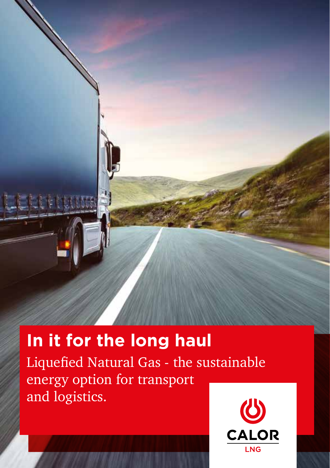

# **In it for the long haul**

Liquefied Natural Gas - the sustainable energy option for transport and logistics.

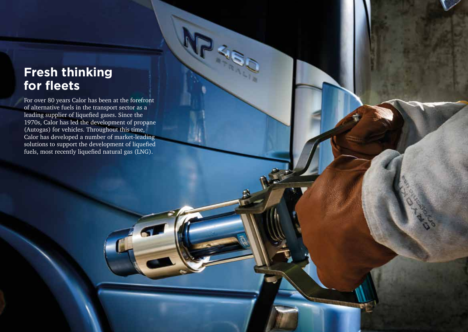# **Fresh thinking for fleets**

For over 80 years Calor has been at the forefront of alternative fuels in the transport sector as a leading supplier of liquefied gases. Since the 1970s, Calor has led the development of propane (Autogas) for vehicles. Throughout this time, Calor has developed a number of market-leading solutions to support the development of liquefied fuels, most recently liquefied natural gas (LNG).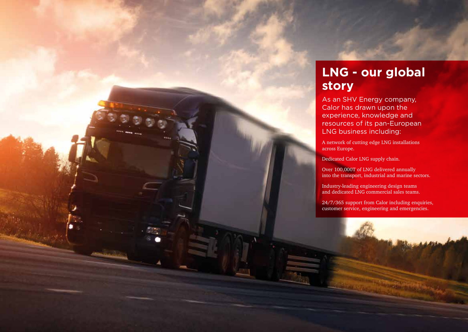

# **LNG - our global story**

As an SHV Energy company, Calor has drawn upon the experience, knowledge and resources of its pan-European LNG business including:

A network of cutting edge LNG installations across Europe.

Dedicated Calor LNG supply chain.

Over 100,000T of LNG delivered annually into the transport, industrial and marine sectors.

Industry-leading engineering design teams and dedicated LNG commercial sales teams.

24/7/365 support from Calor including enquiries, customer service, engineering and emergencies.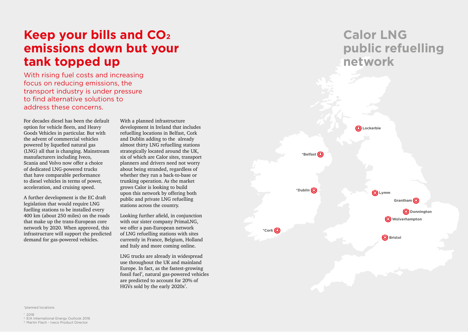# **Keep your bills and CO2 emissions down but your tank topped up**

With rising fuel costs and increasing focus on reducing emissions, the transport industry is under pressure to find alternative solutions to address these concerns.

For decades diesel has been the default option for vehicle fleets, and Heavy Goods Vehicles in particular. But with the advent of commercial vehicles powered by liquefied natural gas (LNG) all that is changing. Mainstream manufacturers including Iveco, Scania and Volvo now offer a choice of dedicated LNG-powered trucks that have comparable performance to diesel vehicles in terms of power, acceleration, and cruising speed.

A further development is the EC draft legislation that would require LNG fuelling stations to be installed every 400 km (about 250 miles) on the roads that make up the trans-European core network by 2020. When approved, this infrastructure will support the predicted demand for gas-powered vehicles.

With a planned infrastructure development in Ireland that includes refuelling locations in Belfast, Cork and Dublin adding to the already almost thirty LNG refuelling stations strategically located around the UK, six of which are Calor sites, transport planners and drivers need not worry about being stranded, regardless of whether they run a back-to-base or trunking operation. As the market grows Calor is looking to build upon this network by offering both public and private LNG refuelling stations across the country.

Looking further afield, in conjunction with our sister company PrimaLNG, we offer a pan-European network of LNG refuelling stations with sites currently in France, Belgium, Holland and Italy and more coming online.

LNG trucks are already in widespread use throughout the UK and mainland Europe. In fact, as the fastest-growing fossil fuel<sup>2</sup>, natural gas-powered vehicles are predicted to account for 20% of HGVs sold by the early  $2020s^3$ .





\*planned locations

 $1, 2018$ 

2 EIA International Energy Outlook 2016 3 Martin Flach - Iveco Product Director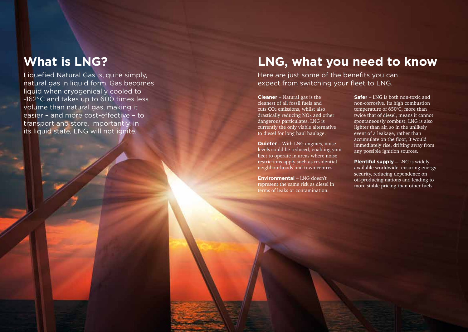Liquefied Natural Gas is, quite simply, natural gas in liquid form. Gas becomes liquid when cryogenically cooled to -162°C and takes up to 600 times less volume than natural gas, making it easier – and more cost-effective – to transport and store. Importantly, in its liquid state, LNG will not ignite.

## **What is LNG? LNG, what you need to know**

Here are just some of the benefits you can expect from switching your fleet to LNG.

**Cleaner** – Natural gas is the cleanest of all fossil fuels and cuts CO <sup>2</sup> emissions, whilst also drastically reducing NO x and other dangerous particulates. LNG is currently the only viable alternative to diesel for long haul haulage.

**Quieter** – With LNG engines, noise levels could be reduced, enabling your fleet to operate in areas where noise restrictions apply such as residential neighbourhoods and town centres.

**Environmental** – LNG doesn't represent the same risk as diesel in terms of leaks or contamination.

**Safer** – LNG is both non-toxic and non-corrosive. Its high combustion temperature of 650°C, more than twice that of diesel, means it cannot spontaneously combust. LNG is also lighter than air, so in the unlikely event of a leakage, rather than accumulate on the floor, it would immediately rise, drifting away from any possible ignition sources.

**Plentiful supply** – LNG is widely available worldwide, ensuring energy security, reducing dependence on oil-producing nations and leading to more stable pricing than other fuels.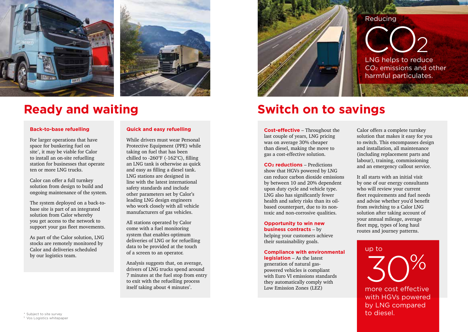



#### **Back-to-base refuelling**

For larger operations that have space for bunkering fuel on site\* , it may be viable for Calor to install an on-site refuelling station for businesses that operate ten or more LNG trucks.

Calor can offer a full turnkey solution from design to build and ongoing maintenance of the system.

The system deployed on a back-tobase site is part of an integrated solution from Calor whereby you get access to the network to support your gas fleet movements.

As part of the Calor solution, LNG stocks are remotely monitored by Calor and deliveries scheduled by our logistics team.

### **Quick and easy refuelling**

While drivers must wear Personal Protective Equipment (PPE) while taking on fuel that has been chilled to -260°F (-162°C), filling an LNG tank is otherwise as quick and easy as filling a diesel tank. LNG stations are designed in line with the latest international safety standards and include other parameters set by Calor's leading LNG design engineers who work closely with all vehicle manufacturers of gas vehicles.

All stations operated by Calor come with a fuel monitoring system that enables optimum deliveries of LNG or for refuelling data to be provided at the touch of a screen to an operator.

Analysis suggests that, on average, drivers of LNG trucks spend around 7 minutes at the fuel stop from entry to exit with the refuelling process itself taking about 4 minutes<sup>s</sup>.



## **Ready and waiting The Switch on to savings**

**Cost-effective** – Throughout the last couple of years, LNG pricing was on average 30% cheaper than diesel, making the move to gas a cost-effective solution.

**CO2 reductions** – Predictions show that HGVs powered by LNG can reduce carbon dioxide emissions by between 10 and 20% dependent upon duty cycle and vehicle type. LNG also has significantly fewer health and safety risks than its oilbased counterpart, due to its nontoxic and non-corrosive qualities.

### **Opportunity to win new**

**business contracts** – by helping your customers achieve their sustainability goals.

#### **Compliance with environmental**

**legislation** – As the latest generation of natural gaspowered vehicles is compliant with Euro VI emissions standards they automatically comply with Low Emission Zones (LEZ)

Calor offers a complete turnkey solution that makes it easy for you to switch. This encompasses design and installation, all maintenance (including replacement parts and labour), training, commissioning and an emergency callout service.

It all starts with an initial visit by one of our energy consultants who will review your current fleet requirements and fuel needs and advise whether you'd benefit from switching to a Calor LNG solution after taking account of your annual mileage, average fleet mpg, types of long haul routes and journey patterns.

### more cost effective with HGVs powered by LNG compared to diesel. up to 30%

\* Subject to site survey 5 Vos Logistics whitepaper